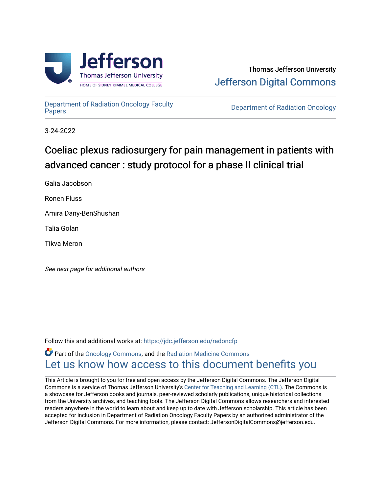

[Department of Radiation Oncology Faculty](https://jdc.jefferson.edu/radoncfp)

**Department of Radiation Oncology** 

3-24-2022

## Coeliac plexus radiosurgery for pain management in patients with advanced cancer : study protocol for a phase II clinical trial

Galia Jacobson

Ronen Fluss

Amira Dany-BenShushan

Talia Golan

Tikva Meron

See next page for additional authors

Follow this and additional works at: [https://jdc.jefferson.edu/radoncfp](https://jdc.jefferson.edu/radoncfp?utm_source=jdc.jefferson.edu%2Fradoncfp%2F164&utm_medium=PDF&utm_campaign=PDFCoverPages) 

**C** Part of the [Oncology Commons,](http://network.bepress.com/hgg/discipline/694?utm_source=jdc.jefferson.edu%2Fradoncfp%2F164&utm_medium=PDF&utm_campaign=PDFCoverPages) and the [Radiation Medicine Commons](http://network.bepress.com/hgg/discipline/1416?utm_source=jdc.jefferson.edu%2Fradoncfp%2F164&utm_medium=PDF&utm_campaign=PDFCoverPages) Let us know how access to this document benefits you

This Article is brought to you for free and open access by the Jefferson Digital Commons. The Jefferson Digital Commons is a service of Thomas Jefferson University's [Center for Teaching and Learning \(CTL\)](http://www.jefferson.edu/university/teaching-learning.html/). The Commons is a showcase for Jefferson books and journals, peer-reviewed scholarly publications, unique historical collections from the University archives, and teaching tools. The Jefferson Digital Commons allows researchers and interested readers anywhere in the world to learn about and keep up to date with Jefferson scholarship. This article has been accepted for inclusion in Department of Radiation Oncology Faculty Papers by an authorized administrator of the Jefferson Digital Commons. For more information, please contact: JeffersonDigitalCommons@jefferson.edu.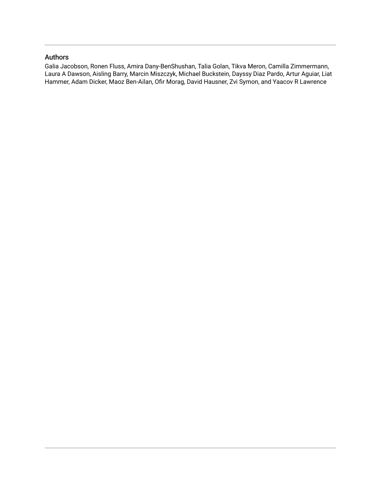## Authors

Galia Jacobson, Ronen Fluss, Amira Dany-BenShushan, Talia Golan, Tikva Meron, Camilla Zimmermann, Laura A Dawson, Aisling Barry, Marcin Miszczyk, Michael Buckstein, Dayssy Diaz Pardo, Artur Aguiar, Liat Hammer, Adam Dicker, Maoz Ben-Ailan, Ofir Morag, David Hausner, Zvi Symon, and Yaacov R Lawrence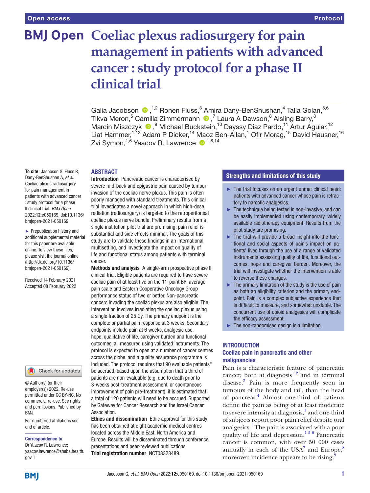# **BMJ Open Coeliac plexus radiosurgery for pain management in patients with advanced cancer : study protocol for a phase II clinical trial**

GaliaJacobson <sup>®</sup>,<sup>1,2</sup> Ronen Fluss,<sup>3</sup> Amira Dany-BenShushan,<sup>4</sup> Talia Golan,<sup>5,6</sup> Tikva Meron,<sup>5</sup> Camilla Zimmermann (D,<sup>7</sup> Laura A Dawson,<sup>8</sup> Aisling Barry,<sup>8</sup> Marcin Miszczyk <sup>® 9</sup> Michael Buckstein,<sup>10</sup> Dayssy Diaz Pardo,<sup>11</sup> Artur Aguiar,<sup>12</sup> Liat Hammer,<sup>1,13</sup> Adam P Dicker,<sup>14</sup> Maoz Ben-Ailan,<sup>1</sup> Ofir Morag,<sup>15</sup> David Hausner,<sup>16</sup> Zvi Symon,<sup>1,6</sup> Yaacov R. Lawrence <sup>1,6,14</sup>

#### ABSTRACT

**To cite:** Jacobson G, Fluss R, Dany-BenShushan A, *et al*. Coeliac plexus radiosurgery for pain management in patients with advanced cancer : study protocol for a phase II clinical trial. *BMJ Open* 2022;12:e050169. doi:10.1136/ bmjopen-2021-050169

► Prepublication history and additional supplemental material for this paper are available online. To view these files, please visit the journal online [\(http://dx.doi.org/10.1136/](http://dx.doi.org/10.1136/bmjopen-2021-050169) [bmjopen-2021-050169](http://dx.doi.org/10.1136/bmjopen-2021-050169)).

Received 14 February 2021 Accepted 08 February 2022

#### Check for updates

© Author(s) (or their employer(s)) 2022. Re-use permitted under CC BY-NC. No commercial re-use. See rights and permissions. Published by BMJ.

For numbered affiliations see end of article.

#### Correspondence to

Dr Yaacov R. Lawrence; yaacov.lawrence@sheba.health. gov.il

Introduction Pancreatic cancer is characterised by severe mid-back and epigastric pain caused by tumour invasion of the coeliac nerve plexus. This pain is often poorly managed with standard treatments. This clinical trial investigates a novel approach in which high-dose radiation (radiosurgery) is targeted to the retroperitoneal coeliac plexus nerve bundle. Preliminary results from a single institution pilot trial are promising: pain relief is substantial and side effects minimal. The goals of this study are to validate these findings in an international multisetting, and investigate the impact on quality of life and functional status among patients with terminal cancer.

Methods and analysis A single-arm prospective phase II clinical trial. Eligible patients are required to have severe coeliac pain of at least five on the 11-point BPI average pain scale and Eastern Cooperative Oncology Group performance status of two or better. Non-pancreatic cancers invading the coeliac plexus are also eligible. The intervention involves irradiating the coeliac plexus using a single fraction of 25 Gy. The primary endpoint is the complete or partial pain response at 3 weeks. Secondary endpoints include pain at 6 weeks, analgesic use, hope, qualitative of life, caregiver burden and functional outcomes, all measured using validated instruments. The protocol is expected to open at a number of cancer centres across the globe, and a quality assurance programme is included. The protocol requires that 90 evaluable patients" be accrued, based upon the assumption that a third of patients are non-evaluable (e.g. due to death prior to 3-weeks post-treatment assessment, or spontaneous improvement of pain pre-treatment), it is estimated that a total of 120 patients will need to be accrued. Supported by Gateway for Cancer Research and the Israel Cancer Association.

Ethics and dissemination Ethic approval for this study has been obtained at eight academic medical centres located across the Middle East, North America and Europe. Results will be disseminated through conference presentations and peer-reviewed publications. Trial registration number <NCT03323489>.

## Strengths and limitations of this study

- ► The trial focuses on an urgent unmet clinical need: patients with advanced cancer whose pain is refractory to narcotic analgesics.
- ► The technique being tested is non-invasive, and can be easily implemented using contemporary, widely available radiotherapy equipment. Results from the pilot study are promising.
- ► The trial will provide a broad insight into the functional and social aspects of pain's impact on patients' lives through the use of a range of validated instruments assessing quality of life, functional outcomes, hope and caregiver burden. Moreover, the trial will investigate whether the intervention is able to reverse these changes.
- $\blacktriangleright$  The primary limitation of the study is the use of pain as both an eligibility criterion and the primary endpoint. Pain is a complex subjective experience that is difficult to measure, and somewhat unstable. The concurrent use of opioid analgesics will complicate the efficacy assessment.
- ► The non-randomised design is a limitation.

#### INTRODUCTION

## Coeliac pain in pancreatic and other malignancies

Pain is a characteristic feature of pancreatic cancer, both at diagnosis<sup>12</sup> and in terminal disease.<sup>[3](#page-10-1)</sup> Pain is more frequently seen in tumours of the body and tail, than the head of pancreas.<sup>4</sup> Almost one-third of patients define the pain as being of at least moderate to severe intensity at diagnosis,<sup>[1](#page-10-0)</sup> and one-third of subjects report poor pain relief despite oral analgesics[.1](#page-10-0) The pain is associated with a poor quality of life and depression.[1 5 6](#page-10-0) Pancreatic cancer is common, with over 50 000 cases annually in each of the USA<sup>[7](#page-10-3)</sup> and Europe, $8$ moreover, incidence appears to be rising.<sup>[9](#page-10-5)</sup>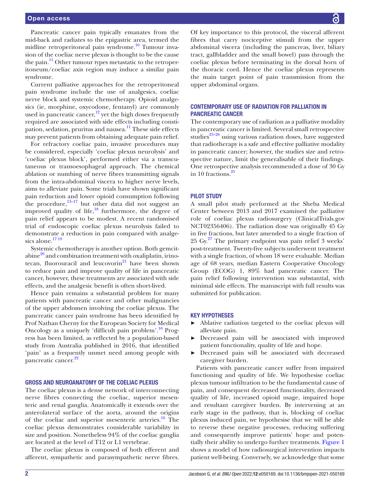Pancreatic cancer pain typically emanates from the mid-back and radiates to the epigastric area, termed the midline retroperitoneal pain syndrome.<sup>10</sup> Tumour invasion of the coeliac nerve plexus is thought to be the cause the pain.<sup>11</sup> Other tumour types metastatic to the retroperitoneum/coeliac axis region may induce a similar pain syndrome.

Current palliative approaches for the retroperitoneal pain syndrome include the use of analgesics, coeliac nerve block and systemic chemotherapy. Opioid analgesics (ie, morphine, oxycodone, fentanyl) are commonly used in pancreatic cancer, $12$  yet the high doses frequently required are associated with side effects including constipation, sedation, pruritus and nausea.<sup>11</sup> These side effects may prevent patients from obtaining adequate pain relief.

For refractory coeliac pain, invasive procedures may be considered, especially 'coeliac plexus neurolysis' and 'coeliac plexus block', performed either via a transcutaneous or transoesophageal approach. The chemical ablation or numbing of nerve fibres transmitting signals from the intra-abdominal viscera to higher nerve levels, aims to alleviate pain. Some trials have shown significant pain reduction and lower opioid consumption following the procedure, $13-17$  but other data did not suggest an improved quality of life, $^{18}$  furthermore, the degree of pain relief appears to be modest. A recent randomised trial of endoscopic coeliac plexus neurolysis failed to demonstrate a reduction in pain compared with analgesics alone.<sup>1719</sup>

Systemic chemotherapy is another option. Both gemcit $abine<sup>20</sup>$  and combination treatment with oxaliplatin, irinotecan, fluorouracil and leucovorin $^{21}$  have been shown to reduce pain and improve quality of life in pancreatic cancer, however, these treatments are associated with side effects, and the analgesic benefit is often short-lived.

Hence pain remains a substantial problem for many patients with pancreatic cancer and other malignancies of the upper abdomen involving the coeliac plexus. The pancreatic cancer pain syndrome has been identified by Prof Nathan Cherny for the European Society for Medical Oncology as a uniquely 'difficult pain problem'.<sup>10</sup> Progress has been limited, as reflected by a population-based study from Australia published in 2016, that identified 'pain' as a frequently unmet need among people with pancreatic cancer.<sup>[22](#page-10-14)</sup>

## GROSS AND NEUROANATOMY OF THE COELIAC PLEXUS

The coeliac plexus is a dense network of interconnecting nerve fibres connecting the coeliac, superior mesenteric and renal ganglia. Anatomically it extends over the anterolateral surface of the aorta, around the origins of the coeliac and superior mesenteric arteries.<sup>16</sup> The coeliac plexus demonstrates considerable variability in size and position. Nonetheless 94% of the coeliac ganglia are located at the level of T12 or L1 vertebrae.

The coeliac plexus is composed of both efferent and afferent, sympathetic and parasympathetic nerve fibres.

Of key importance to this protocol, the visceral afferent fibres that carry nociceptive stimuli from the upper abdominal viscera (including the pancreas, liver, biliary tract, gallbladder and the small bowel) pass through the coeliac plexus before terminating in the dorsal horn of the thoracic cord. Hence the coeliac plexus represents the main target point of pain transmission from the upper abdominal organs.

## CONTEMPORARY USE OF RADIATION FOR PALLIATION IN PANCREATIC CANCER

The contemporary use of radiation as a palliative modality in pancreatic cancer is limited. Several small retrospective studies $^{23-26}$  using various radiation doses, have suggested that radiotherapy is a safe and effective palliative modality in pancreatic cancer; however, the studies size and retrospective nature, limit the generalisable of their findings. One retrospective analysis recommended a dose of 30 Gy in 10 fractions.<sup>[25](#page-10-17)</sup>

## PILOT STUDY

A small pilot study performed at the Sheba Medical Center between 2013 and 2017 examined the palliative role of coeliac plexus radiosurgery (ClinicalTrials.gov NCT02356406). The radiation dose was originally 45 Gy in five fractions, but later amended to a single fraction of  $25 \text{ Gy.}^{27}$  The primary endpoint was pain relief 3 weeks' post-treatment. Twenty-five subjects underwent treatment with a single fraction, of whom 18 were evaluable. Median age of 68 years, median Eastern Cooperative Oncology Group (ECOG) 1, 89% had pancreatic cancer. The pain relief following intervention was substantial, with minimal side effects. The manuscript with full results was submitted for publication.

#### KEY HYPOTHESES

- ► Ablative radiation targeted to the coeliac plexus will alleviate pain.
- ► Decreased pain will be associated with improved patient functionality, quality of life and hope.
- Decreased pain will be associated with decreased caregiver burden.

Patients with pancreatic cancer suffer from impaired functioning and quality of life. We hypothesise coeliac plexus tumour infiltration to be the fundamental cause of pain, and consequent decreased functionality, decreased quality of life, increased opioid usage, impaired hope and resultant caregiver burden. By intervening at an early stage in the pathway, that is, blocking of coeliac plexus induced pain, we hypothesise that we will be able to reverse these negative processes, reducing suffering and consequently improve patients' hope and potentially their ability to undergo further treatments. [Figure](#page-4-0) 1 shows a model of how radiosurgical intervention impacts patient well-being. Conversely, we acknowledge that some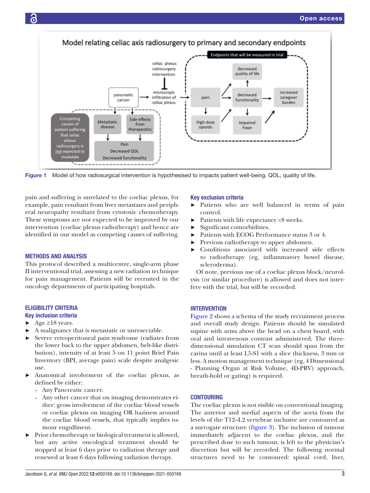

<span id="page-4-0"></span>Figure 1 Model of how radiosurgical intervention is hypothesised to impacts patient well-being. QOL, quality of life.

pain and suffering is unrelated to the coeliac plexus, for example, pain resultant from liver metastases and peripheral neuropathy resultant from cytotoxic chemotherapy. These symptoms are not expected to be improved by our intervention (coeliac plexus radiotherapy) and hence are identified in our model as competing causes of suffering.

#### METHODS AND ANALYSIS

This protocol described a multicentre, single-arm phase II interventional trial, assessing a new radiation technique for pain management. Patients will be recruited in the oncology departments of participating hospitals.

## ELIGIBILITY CRITERIA Key inclusion criteria

- $\blacktriangleright$  Age  $\geq$ 18 years.
- ► A malignancy that is metastatic or unresectable.
- Severe retroperitoneal pain syndrome (radiates from the lower back to the upper abdomen, belt-like distribution), intensity of at least 5 on 11 point Brief Pain Inventory (BPI, average pain) scale despite analgesic use.
- Anatomical involvement of the coeliac plexus, as defined by either:
	- Any Pancreatic cancer.
	- Any other cancer that on imaging demonstrates either: gross involvement of the coeliac blood vessels or coeliac plexus on imaging OR haziness around the coeliac blood vessels, that typically implies tumour engulfment.
- ► Prior chemotherapy or biological treatment is allowed, but any active oncological treatment should be stopped at least 6 days prior to radiation therapy and renewed at least 6 days following radiation therapy.

#### Key exclusion criteria

- ► Patients who are well balanced in terms of pain control.
- Patients with life expectancy <8 weeks.
- ► Significant comorbidities.
- Patients with ECOG Performance status 3 or 4.
- ► Previous radiotherapy to upper abdomen.
- ► Conditions associated with increased side effects to radiotherapy (eg, inflammatory bowel disease, scleroderma).

Of note, previous use of a coeliac plexus block/neurolysis (or similar procedure) is allowed and does not interfere with the trial, but will be recorded.

## **INTERVENTION**

[Figure](#page-5-0) 2 shows a schema of the study recruitment process and overall study design. Patients should be simulated supine with arms above the head on a chest board, with oral and intravenous contrast administered. The threedimensional simulation CT scan should span from the carina until at least L5-S1 with a slice thickness, 3 mm or less. A motion management technique (eg, 4 Dimensional - Planning Organ at Risk Volume, 4D-PRV) approach, breath-hold or gating) is required.

#### CONTOURING

The coeliac plexus is not visible on conventional imaging. The anterior and medial aspects of the aorta from the levels of the T12–L2 vertebrae inclusive are contoured as a surrogate structure [\(figure](#page-5-1) 3). The inclusion of tumour immediately adjacent to the coeliac plexus, and the prescribed dose to such tumour, is left to the physician's discretion but will be recorded. The following normal structures need to be contoured: spinal cord, liver,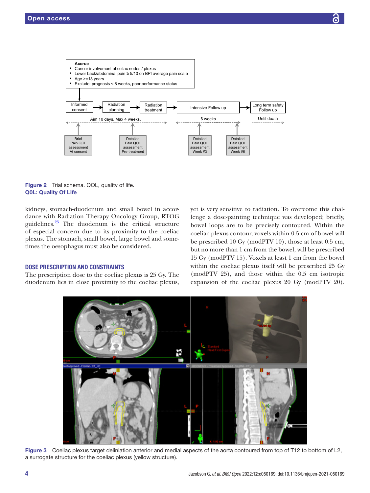

<span id="page-5-0"></span>Figure 2 Trial schema. QOL, quality of life. Q0L: Quality Of Life

kidneys, stomach-duodenum and small bowel in accordance with Radiation Therapy Oncology Group, RTOG guidelines. $23$  The duodenum is the critical structure of especial concern due to its proximity to the coeliac plexus. The stomach, small bowel, large bowel and sometimes the oesophagus must also be considered.

## DOSE PRESCRIPTION AND CONSTRAINTS

The prescription dose to the coeliac plexus is 25 Gy. The duodenum lies in close proximity to the coeliac plexus,

yet is very sensitive to radiation. To overcome this challenge a dose-painting technique was developed; briefly, bowel loops are to be precisely contoured. Within the coeliac plexus contour, voxels within 0.5 cm of bowel will be prescribed 10 Gy (modPTV 10), those at least 0.5 cm, but no more than 1 cm from the bowel, will be prescribed 15 Gy (modPTV 15). Voxels at least 1 cm from the bowel within the coeliac plexus itself will be prescribed 25 Gy (modPTV 25), and those within the 0.5 cm isotropic expansion of the coeliac plexus 20 Gy (modPTV 20).



<span id="page-5-1"></span>Figure 3 Coeliac plexus target deliniation anterior and medial aspects of the aorta contoured from top of T12 to bottom of L2, a surrogate structure for the coeliac plexus (yellow structure).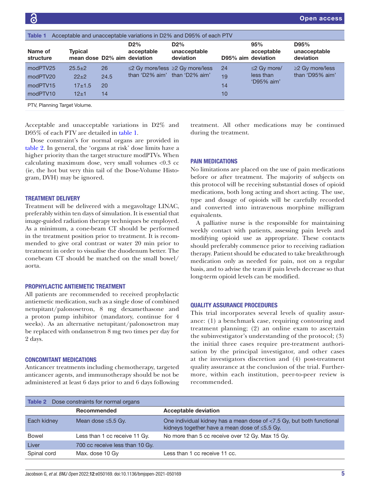<span id="page-6-0"></span>

| Acceptable and unacceptable variations in D2% and D95% of each PTV<br>Table 1 |                                                |                        |                               |                                     |                      |                                            |                                          |  |
|-------------------------------------------------------------------------------|------------------------------------------------|------------------------|-------------------------------|-------------------------------------|----------------------|--------------------------------------------|------------------------------------------|--|
| Name of<br>structure                                                          | <b>Typical</b><br>mean dose D2% aim deviation  |                        | $D2\%$<br>acceptable          | $D2\%$<br>unacceptable<br>deviation | D95% aim deviation   | 95%<br>acceptable                          | D95%<br>unacceptable<br>deviation        |  |
| modPTV25<br>modPTV20<br>modPTV15<br>modPTV10                                  | $25.5 \pm 2$<br>$22+2$<br>$17 + 1.5$<br>$12+1$ | 26<br>24.5<br>20<br>14 | than 'D2% aim' than 'D2% aim' | ≤2 Gy more/less ≥2 Gy more/less     | 24<br>19<br>14<br>10 | $\leq$ Gy more/<br>less than<br>'D95% aim' | $\geq$ 2 Gy more/less<br>than 'D95% aim' |  |
| PTV, Planning Target Volume.                                                  |                                                |                        |                               |                                     |                      |                                            |                                          |  |

Acceptable and unacceptable variations in D2% and D95% of each PTV are detailed in [table](#page-6-0) 1.

Dose constraint's for normal organs are provided in [table](#page-6-1) 2. In general, the 'organs at risk' dose limits have a higher priority than the target structure modPTVs. When calculating maximum dose, very small volumes <0.3 cc (ie, the hot but very thin tail of the Dose-Volume Histogram, DVH) may be ignored.

## TREATMENT DELIVERY

Treatment will be delivered with a megavoltage LINAC, preferably within ten days of simulation. It is essential that image-guided radiation therapy techniques be employed. As a minimum, a cone-beam CT should be performed in the treatment position prior to treatment. It is recommended to give oral contrast or water 20 min prior to treatment in order to visualise the duodenum better. The conebeam CT should be matched on the small bowel/ aorta.

## PROPHYLACTIC ANTIEMETIC TREATMENT

All patients are recommended to received prophylactic antiemetic medication, such as a single dose of combined netupitant/palonosetron, 8 mg dexamethasone and a proton pump inhibitor (mandatory, continue for 4 weeks). As an alternative netupitant/palonosetron may be replaced with ondansetron 8 mg two times per day for 2 days.

#### CONCOMITANT MEDICATIONS

Anticancer treatments including chemotherapy, targeted anticancer agents, and immunotherapy should be not be administered at least 6 days prior to and 6 days following treatment. All other medications may be continued during the treatment.

## PAIN MEDICATIONS

No limitations are placed on the use of pain medications before or after treatment. The majority of subjects on this protocol will be receiving substantial doses of opioid medications, both long acting and short acting. The use, type and dosage of opioids will be carefully recorded and converted into intravenous morphine milligram equivalents.

A palliative nurse is the responsible for maintaining weekly contact with patients, assessing pain levels and modifying opioid use as appropriate. These contacts should preferably commence prior to receiving radiation therapy. Patient should be educated to take breakthrough medication only as needed for pain, not on a regular basis, and to advise the team if pain levels decrease so that long-term opioid levels can be modified.

## QUALITY ASSURANCE PROCEDURES

This trial incorporates several levels of quality assurance: (1) a benchmark case, requiring contouring and treatment planning; (2) an online exam to ascertain the subinvestigator's understanding of the protocol; (3) the initial three cases require pre-treatment authorisation by the principal investigator, and other cases at the investigators discretion and (4) post-treatment quality assurance at the conclusion of the trial. Furthermore, within each institution, peer-to-peer review is recommended.

<span id="page-6-1"></span>

| <b>Table 2</b> Dose constraints for normal organs |                                 |                                                                                                                              |  |  |  |  |
|---------------------------------------------------|---------------------------------|------------------------------------------------------------------------------------------------------------------------------|--|--|--|--|
|                                                   | Recommended                     | <b>Acceptable deviation</b>                                                                                                  |  |  |  |  |
| Each kidney                                       | Mean dose $\leq 5.5$ Gy.        | One individual kidney has a mean dose of <7.5 Gy, but both functional<br>kidneys together have a mean dose of $\leq 5.5$ Gy. |  |  |  |  |
| <b>Bowel</b>                                      | Less than 1 cc receive 11 Gy.   | No more than 5 cc receive over 12 Gy. Max 15 Gy.                                                                             |  |  |  |  |
| Liver                                             | 700 cc receive less than 10 Gy. |                                                                                                                              |  |  |  |  |
| Spinal cord                                       | Max. dose 10 Gy                 | Less than 1 cc receive 11 cc.                                                                                                |  |  |  |  |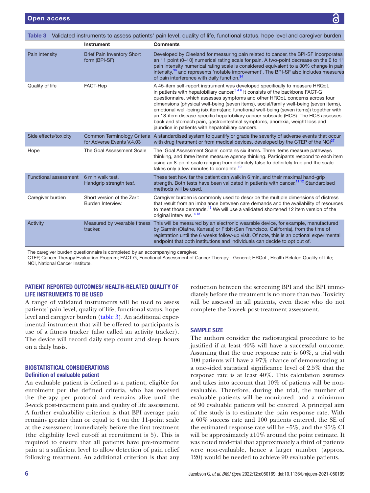<span id="page-7-0"></span>

| Validated instruments to assess patients' pain level, quality of life, functional status, hope level and caregiver burden<br>Table 3 |                                                          |                                                                                                                                                                                                                                                                                                                                                                                                                                                                                                                                                                                                                                                            |  |  |  |
|--------------------------------------------------------------------------------------------------------------------------------------|----------------------------------------------------------|------------------------------------------------------------------------------------------------------------------------------------------------------------------------------------------------------------------------------------------------------------------------------------------------------------------------------------------------------------------------------------------------------------------------------------------------------------------------------------------------------------------------------------------------------------------------------------------------------------------------------------------------------------|--|--|--|
|                                                                                                                                      | <b>Instrument</b>                                        | <b>Comments</b>                                                                                                                                                                                                                                                                                                                                                                                                                                                                                                                                                                                                                                            |  |  |  |
| Pain intensity                                                                                                                       | <b>Brief Pain Inventory Short</b><br>form (BPI-SF)       | Developed by Cleeland for measuring pain related to cancer, the BPI-SF incorporates<br>an 11 point (0-10) numerical rating scale for pain. A two-point decrease on the 0 to 11<br>pain intensity numerical rating scale is considered equivalent to a 30% change in pain<br>intensity, <sup>36</sup> and represents 'notable improvement'. The BPI-SF also includes measures<br>of pain interference with daily function. <sup>34</sup>                                                                                                                                                                                                                    |  |  |  |
| Quality of life                                                                                                                      | FACT-Hep                                                 | A 45-item self-report instrument was developed specifically to measure HRQoL<br>in patients with hepatobiliary cancer. $346$ It consists of the backbone FACT-G<br>questionnaire, which assesses symptoms and other HRQoL concerns across four<br>dimensions (physical well-being (seven items), social/family well-being (seven items),<br>emotional well-being (six items)and functional well-being (seven items)) together with<br>an 18-item disease-specific hepatobiliary cancer subscale (HCS). The HCS assesses<br>back and stomach pain, gastrointestinal symptoms, anorexia, weight loss and<br>jaundice in patients with hepatobiliary cancers. |  |  |  |
| Side effects/toxicity                                                                                                                | Common Terminology Criteria<br>for Adverse Events V.4.03 | A standardised system to quantify or grade the severity of adverse events that occur<br>with drug treatment or from medical devices, developed by the CTEP of the NCl <sup>37</sup>                                                                                                                                                                                                                                                                                                                                                                                                                                                                        |  |  |  |
| Hope                                                                                                                                 | The Goal Assessment Scale                                | The 'Goal Assessment Scale' contains six items. Three items measure pathways<br>thinking, and three items measure agency thinking. Participants respond to each item<br>using an 8-point scale ranging from definitely false to definitely true and the scale<br>takes only a few minutes to complete. <sup>10</sup>                                                                                                                                                                                                                                                                                                                                       |  |  |  |
| Functional assessment                                                                                                                | 6 min walk test.<br>Handgrip strength test.              | These test how far the patient can walk in 6 min, and their maximal hand-grip<br>strength. Both tests have been validated in patients with cancer. <sup>1112</sup> Standardised<br>methods will be used.                                                                                                                                                                                                                                                                                                                                                                                                                                                   |  |  |  |
| Caregiver burden                                                                                                                     | Short version of the Zarit<br>Burden Interview.          | Caregiver burden is commonly used to describe the multiple dimensions of distress<br>that result from an imbalance between care demands and the availability of resources<br>to meet those demands. <sup>13</sup> We will use a validated shortened 12 item version of the<br>original interview. <sup>14 15</sup>                                                                                                                                                                                                                                                                                                                                         |  |  |  |
| Activity                                                                                                                             | Measured by wearable fitness<br>tracker.                 | This will be measured by an electronic wearable device, for example, manufactured<br>by Garmin (Olathe, Kansas) or Fitbit (San Francisco, California), from the time of<br>registration until the 6 weeks follow-up visit. Of note, this is an optional experimental<br>endpoint that both institutions and individuals can decide to opt out of.                                                                                                                                                                                                                                                                                                          |  |  |  |

The caregiver burden questionnaire is completed by an accompanying caregiver.

CTEP, Cancer Therapy Evaluation Program; FACT-G, Functional Assessment of Cancer Therapy - General; HRQoL, Health Related Quality of Life; NCI, National Cancer Institute.

## PATIENT REPORTED OUTCOMES/ HEALTH-RELATED QUALITY OF LIFE INSTRUMENTS TO BE USED

A range of validated instruments will be used to assess patients' pain level, quality of life, functional status, hope level and caregiver burden ([table](#page-7-0) 3). An additional experimental instrument that will be offered to participants is use of a fitness tracker (also called an activity tracker). The device will record daily step count and sleep hours on a daily basis.

## BIOSTATISTICAL CONSIDERATIONS Definition of evaluable patient

An evaluable patient is defined as a patient, eligible for enrolment per the defined criteria, who has received the therapy per protocol and remains alive until the 3-week post-treatment pain and quality of life assessment. A further evaluability criterion is that BPI average pain remains greater than or equal to 4 on the 11-point scale at the assessment immediately before the first treatment (the eligibility level cut-off at recruitment is 5). This is required to ensure that all patients have pre-treatment pain at a sufficient level to allow detection of pain relief following treatment. An additional criterion is that any

reduction between the screening BPI and the BPI immediately before the treatment is no more than two. Toxicity will be assessed in all patients, even those who do not complete the 3-week post-treatment assessment.

## SAMPLE SIZE

The authors consider the radiosurgical procedure to be justified if at least 40% will have a successful outcome. Assuming that the true response rate is 60%, a trial with 100 patients will have a 97% chance of demonstrating at a one-sided statistical significance level of 2.5% that the response rate is at least 40%. This calculation assumes and takes into account that 10% of patients will be nonevaluable. Therefore, during the trial, the number of evaluable patients will be monitored, and a minimum of 90 evaluable patients will be entered. A principal aim of the study is to estimate the pain response rate. With a 60% success rate and 100 patients entered, the SE of the estimated response rate will be  $\sim 5\%$ , and the 95% CI will be approximately  $\pm 10\%$  around the point estimate. It was noted mid-trial that approximately a third of patients were non-evaluable, hence a larger number (approx. 120) would be needed to achieve 90 evaluable patients.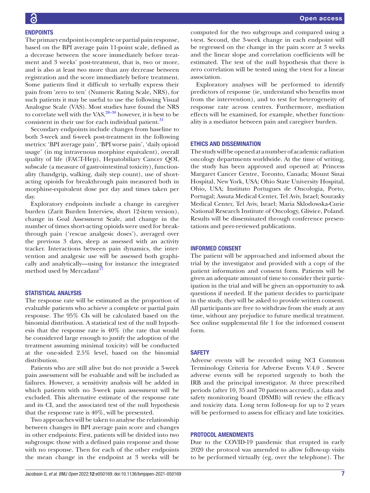The primary endpoint is complete or partial pain response,

based on the BPI average pain 11-point scale, defined as a decrease between the score immediately before treatment and 3 weeks' post-treatment, that is, two or more, and is also at least two more than any decrease between registration and the score immediately before treatment. Some patients find it difficult to verbally express their pain from 'zero to ten' (Numeric Rating Scale, NRS), for such patients it may be useful to use the following Visual Analogue Scale (VAS). Most studies have found the NRS to correlate well with the VAS, $28-30$  however, it is best to be consistent in their use for each individual patient.<sup>[31](#page-10-24)</sup>

Secondary endpoints include changes from baseline to both 3-week and 6-week post-treatment in the following metrics: 'BPI average pain', 'BPI worse pain', 'daily opioid usage' (in mg intravenous morphine equivalent), overall quality of life (FACT-Hep), Hepatobiliary Cancer QOL subscale (a measure of gastrointestinal toxicity), functionality (handgrip, walking, daily step count), use of shortacting opioids for breakthrough pain measured both in morphine-equivalent dose per day and times taken per day.

Exploratory endpoints include a change in caregiver burden (Zarit Burden Interview, short 12-item version), change in Goal Assessment Scale, and change in the number of times short-acting opioids were used for breakthrough pain ('rescue analgesic doses'), averaged over the previous 3 days, sleep as assessed with an activity tracker. Interactions between pain dynamics, the intervention and analgesic use will be assessed both graphically and analytically—using for instance the integrated method used by Mercadant<sup>17</sup>

## STATISTICAL ANALYSIS

The response rate will be estimated as the proportion of evaluable patients who achieve a complete or partial pain response. The 95% CIs will be calculated based on the binomial distribution. A statistical test of the null hypothesis that the response rate is 40% (the rate that would be considered large enough to justify the adoption of the treatment assuming minimal toxicity) will be conducted at the one-sided 2.5% level, based on the binomial distribution.

Patients who are still alive but do not provide a 3-week pain assessment will be evaluable and will be included as failures. However, a sensitivity analysis will be added in which patients with no 3-week pain assessment will be excluded. This alternative estimate of the response rate and its CI, and the associated test of the null hypothesis that the response rate is 40%, will be presented.

Two approaches will be taken to analyse the relationship between changes in BPI average pain score and changes in other endpoints: First, patients will be divided into two subgroups: those with a defined pain response and those with no response. Then for each of the other endpoints the mean change in the endpoint at 3 weeks will be

computed for the two subgroups and compared using a t-test. Second, the 3-week change in each endpoint will be regressed on the change in the pain score at 3 weeks and the linear slope and correlation coefficients will be estimated. The test of the null hypothesis that there is zero correlation will be tested using the t-test for a linear association.

Exploratory analyses will be performed to identify predictors of response (ie, understand who benefits most from the intervention), and to test for heterogeneity of response rate across centres. Furthermore, mediation effects will be examined, for example, whether functionality is a mediator between pain and caregiver burden.

## ETHICS AND DISSEMINATION

The study will be opened at a number of academic radiation oncology departments worldwide. At the time of writing, the study has been approved and opened at: Princess Margaret Cancer Centre, Toronto, Canada; Mount Sinai Hospital, New York, USA; Ohio State University Hospital, Ohio, USA; Instituto Portugues de Oncologia, Porto, Portugal; Assuta Medical Center, Tel Aviv, Israel; Sourasky Medical Center, Tel Aviv, Israel; Maria Sklodowska-Curie National Research Institute of Oncology, Gliwice, Poland. Results will be disseminated through conference presentations and peer-reviewed publications.

## INFORMED CONSENT

The patient will be approached and informed about the trial by the investigator and provided with a copy of the patient information and consent form. Patients will be given an adequate amount of time to consider their participation in the trial and will be given an opportunity to ask questions if needed. If the patient decides to participate in the study, they will be asked to provide written consent. All participants are free to withdraw from the study at any time, without any prejudice to future medical treatment. See [online supplemental file 1](https://dx.doi.org/10.1136/bmjopen-2021-050169) for the informed consent form.

## **SAFETY**

Adverse events will be recorded using NCI Common Terminology Criteria for Adverse Events V.4.0 . Severe adverse events will be reported urgently to both the IRB and the principal investigator. At three prescribed periods (after 10, 35 and 70 patients accrued), a data and safety monitoring board (DSMB) will review the efficacy and toxicity data. Long term follow-up for up to 2 years will be performed to assess for efficacy and late toxicities.

## PROTOCOL AMENDMENTS

Due to the COVID-19 pandemic that erupted in early 2020 the protocol was amended to allow follow-up visits to be performed virtually (eg, over the telephone). The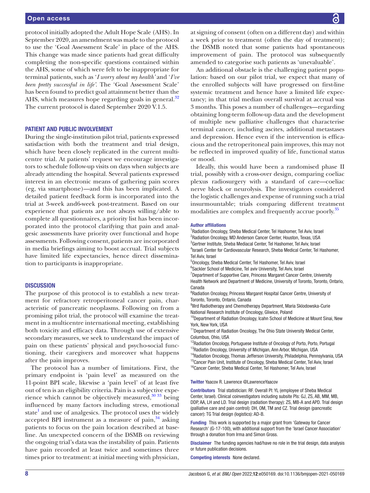### Open access

protocol initially adopted the Adult Hope Scale (AHS). In September 2020, an amendment was made to the protocol to use the 'Goal Assessment Scale' in place of the AHS. This change was made since patients had great difficulty completing the non-specific questions contained within the AHS, some of which were felt to be inappropriate for terminal patients, such as '*I worry about my health'* and '*I've been pretty successful in life'*. The 'Goal Assessment Scale' has been found to predict goal attainment better than the AHS, which measures hope regarding goals in general.<sup>[32](#page-10-25)</sup> The current protocol is dated September 2020 V.1.5.

#### PATIENT AND PUBLIC INVOLVEMENT

During the single-institution pilot trial, patients expressed satisfaction with both the treatment and trial design, which have been closely replicated in the current multicentre trial. At patients' request we encourage investigators to schedule follow-up visits on days when subjects are already attending the hospital. Several patients expressed interest in an electronic means of gathering pain scores (eg, via smartphone)—and this has been implicated. A detailed patient feedback form is incorporated into the trial at 3-week and6-week post-treatment. Based on our experience that patients are not always willing/able to complete all questionnaires, a priority list has been incorporated into the protocol clarifying that pain and analgesic assessments have priority over functional and hope assessments. Following consent, patients are incorporated in media briefings aiming to boost accrual. Trial subjects have limited life expectancies, hence direct dissemination to participants is inappropriate.

#### **DISCUSSION**

The purpose of this protocol is to establish a new treatment for refractory retroperitoneal cancer pain, characteristic of pancreatic neoplasms. Following on from a promising pilot trial, the protocol will examine the treatment in a multicentre international meeting, establishing both toxicity and efficacy data. Through use of extensive secondary measures, we seek to understand the impact of pain on these patients' physical and psycho-social functioning, their caregivers and moreover what happens after the pain improves.

The protocol has a number of limitations. First, the primary endpoint is 'pain level' as measured on the 11-point BPI scale, likewise a 'pain level' of at least five out of ten is an eligibility criteria. Pain is a subjective experience which cannot be objectively measured, $30\,33\,$  being influenced by many factors including stress, emotional state<sup>1</sup> and use of analgesics. The protocol uses the widely accepted BPI instrument as a measure of pain, $34$  asking patients to focus on the pain location described at baseline. An unexpected concern of the DSMB on reviewing the ongoing trial's data was the instability of pain. Patients have pain recorded at least twice and sometimes three times prior to treatment: at initial meeting with physician,

at signing of consent (often on a different day) and within a week prior to treatment (often the day of treatment); the DSMB noted that some patients had spontaneous improvement of pain. The protocol was subsequently amended to categorise such patients as 'unevaluable'.

An additional obstacle is the challenging patient population: based on our pilot trial, we expect that many of the enrolled subjects will have progressed on first-line systemic treatment and hence have a limited life expectancy; in that trial median overall survival at accrual was 3 months. This poses a number of challenges—regarding obtaining long-term follow-up data and the development of multiple new palliative challenges that characterise terminal cancer, including ascites, additional metastases and depression. Hence even if the intervention is efficacious and the retroperitoneal pain improves, this may not be reflected in improved quality of life, functional status or mood.

Ideally, this would have been a randomised phase II trial, possibly with a cross-over design, comparing coeliac plexus radiosurgery with a standard of care—coeliac nerve block or neurolysis. The investigators considered the logistic challenges and expense of running such a trial insurmountable; trials comparing different treatment modalities are complex and frequently accrue poorly.<sup>[35](#page-10-27)</sup>

#### Author affiliations

<sup>1</sup> Radiation Oncology, Sheba Medical Center, Tel Hashomer, Tel Aviv, Israel <sup>2</sup>Radiation Oncology, MD Anderson Cancer Center, Houston, Texas, USA 3 Gertner Institute, Sheba Mediacal Center, Tel Hashomer, Tel Aviv, Israel 4 Israeli Center for Cardiovascular Research, Sheba Medical Center, Tel Hashomer, Tel Aviv, Israel

5 Oncology, Sheba Medical Center, Tel Hashomer, Tel Aviv, Israel

6 Sackler School of Medicine, Tel aviv University, Tel Aviv, Israel

<sup>7</sup>Department of Supportive Care, Princess Margaret Cancer Centre, University Health Network and Department of Medicine, University of Toronto, Toronto, Ontario, Canada

<sup>8</sup> Radiation Oncology, Princess Margaret Hospital Cancer Centre, University of Toronto, Toronto, Ontario, Canada

<sup>9</sup>IIIrd Radiotherapy and Chemotherapy Department, Maria Sklodowska-Curie National Research Institute of Oncology, Gliwice, Poland

<sup>10</sup>Department of Radiation Oncology, Icahn School of Medicine at Mount Sinai, New York, New York, USA

<sup>11</sup>Department of Radiation Oncology, The Ohio State University Medical Center, Columbus, Ohio, USA

<sup>12</sup>Radiation Oncology, Portuguese Institute of Oncology of Porto, Porto, Portugal <sup>13</sup>Radiatin Oncology, University of Michigan, Ann Arbor, Michigan, USA

<sup>14</sup>Radiation Oncology, Thomas Jefferson University, Philadelphia, Pennsylvania, USA <sup>15</sup>Cancer Pain Unit, Institute of Oncology, Sheba Medical Center, Tel Aviv, Israel

<sup>16</sup>Cancer Center, Sheba Medical Center, Tel Hashomer, Tel Aviv, Israel

#### Twitter Yaacov R. Lawrence [@LawrenceYaacov](https://twitter.com/LawrenceYaacov)

Contributors Trial statistician: RF. Overall PI: YL (employee of Sheba Medical Center, Israel). Clinical coinvestigators including subsite PIs: GJ, ZS, AB, MM, MB, DDP, AA, LH and LD. Trial design (radiation therapy): ZS, MB-A and APD. Trial design (palliative care and pain control): DH, OM, TM and CZ. Trial design (pancreatic cancer): TG Trial design (logistics): AD-B.

Funding This work is supported by a major grant from 'Gateway for Cancer Research' (G-17-100), with additional support from the 'Israel Cancer Association' through a donation from Irma and Simon Gross.

Disclaimer The funding agencies had/have no role in the trial design, data analysis or future publication decisions.

Competing interests None declared.